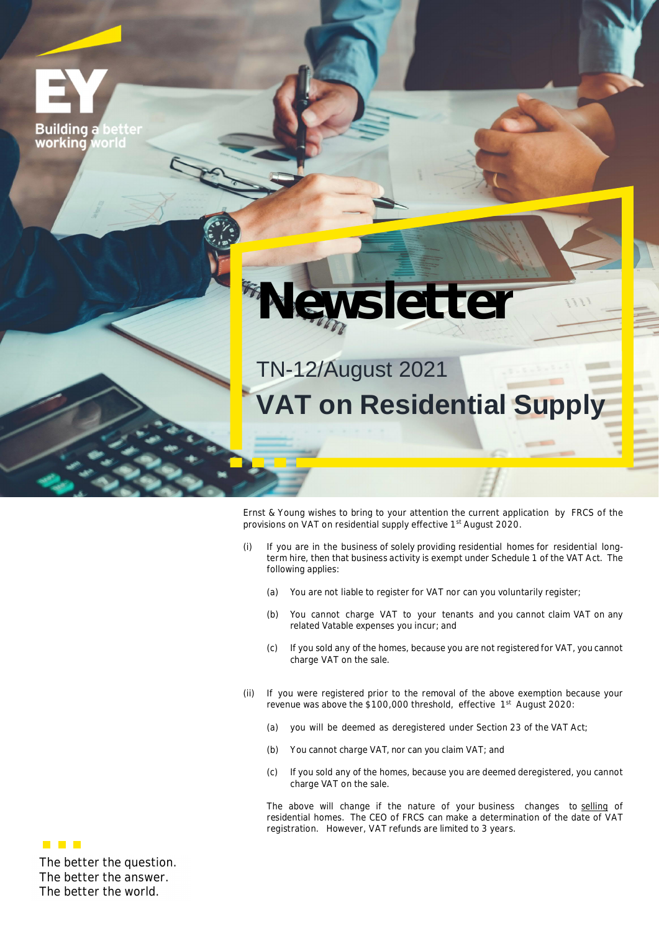**Building a** working  $\sqrt{2}$ 



TN-12/August 2021

**VAT on Residential Supply**

Ernst & Young wishes to bring to your attention the current application by FRCS of the provisions on VAT on residential supply effective 1<sup>st</sup> August 2020.

- (i) If you are in the business of solely providing residential homes for residential longterm hire, then that business activity is exempt under Schedule 1 of the VAT Act. The following applies:
	- (a) You are not liable to register for VAT nor can you voluntarily register;
	- (b) You cannot charge VAT to your tenants and you cannot claim VAT on any related Vatable expenses you incur; and
	- (c) If you sold any of the homes, because you are not registered for VAT, you cannot charge VAT on the sale.
- (ii) If you were registered prior to the removal of the above exemption because your revenue was above the \$100,000 threshold, effective 1st August 2020:
	- (a) you will be deemed as deregistered under Section 23 of the VAT Act;
	- (b) You cannot charge VAT, nor can you claim VAT; and
	- (c) If you sold any of the homes, because you are deemed deregistered, you cannot charge VAT on the sale.

The above will change if the nature of your business changes to selling of residential homes. The CEO of FRCS can make a determination of the date of VAT registration. However, VAT refunds are limited to 3 years.

**The better the question. The better the answer. The better the world.**

**THE R**